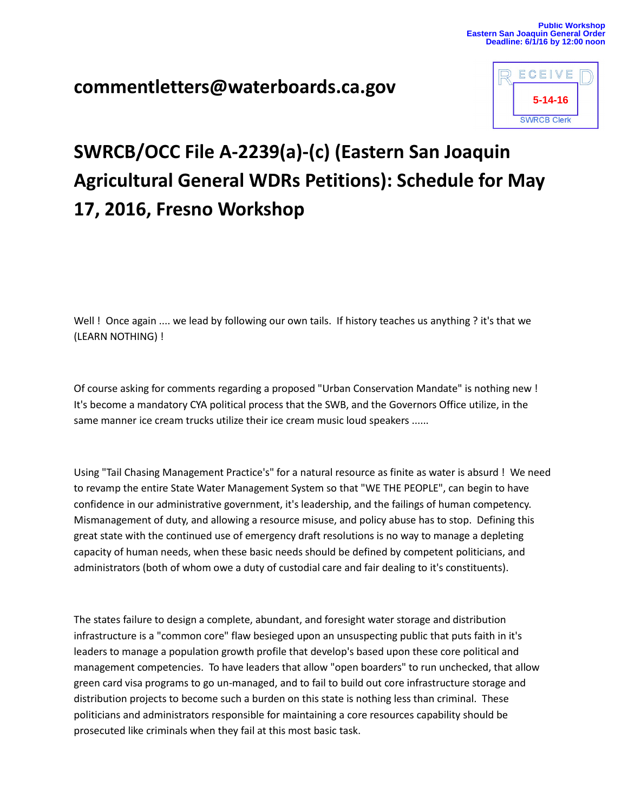## **commentletters@waterboards.ca.gov**



## **SWRCB/OCC File A-2239(a)-(c) (Eastern San Joaquin Agricultural General WDRs Petitions): Schedule for May 17, 2016, Fresno Workshop**

Well ! Once again .... we lead by following our own tails. If history teaches us anything ? it's that we (LEARN NOTHING) !

Of course asking for comments regarding a proposed "Urban Conservation Mandate" is nothing new ! It's become a mandatory CYA political process that the SWB, and the Governors Office utilize, in the same manner ice cream trucks utilize their ice cream music loud speakers ......

Using "Tail Chasing Management Practice's" for a natural resource as finite as water is absurd ! We need to revamp the entire State Water Management System so that "WE THE PEOPLE", can begin to have confidence in our administrative government, it's leadership, and the failings of human competency. Mismanagement of duty, and allowing a resource misuse, and policy abuse has to stop. Defining this great state with the continued use of emergency draft resolutions is no way to manage a depleting capacity of human needs, when these basic needs should be defined by competent politicians, and administrators (both of whom owe a duty of custodial care and fair dealing to it's constituents).

The states failure to design a complete, abundant, and foresight water storage and distribution infrastructure is a "common core" flaw besieged upon an unsuspecting public that puts faith in it's leaders to manage a population growth profile that develop's based upon these core political and management competencies. To have leaders that allow "open boarders" to run unchecked, that allow green card visa programs to go un-managed, and to fail to build out core infrastructure storage and distribution projects to become such a burden on this state is nothing less than criminal. These politicians and administrators responsible for maintaining a core resources capability should be prosecuted like criminals when they fail at this most basic task.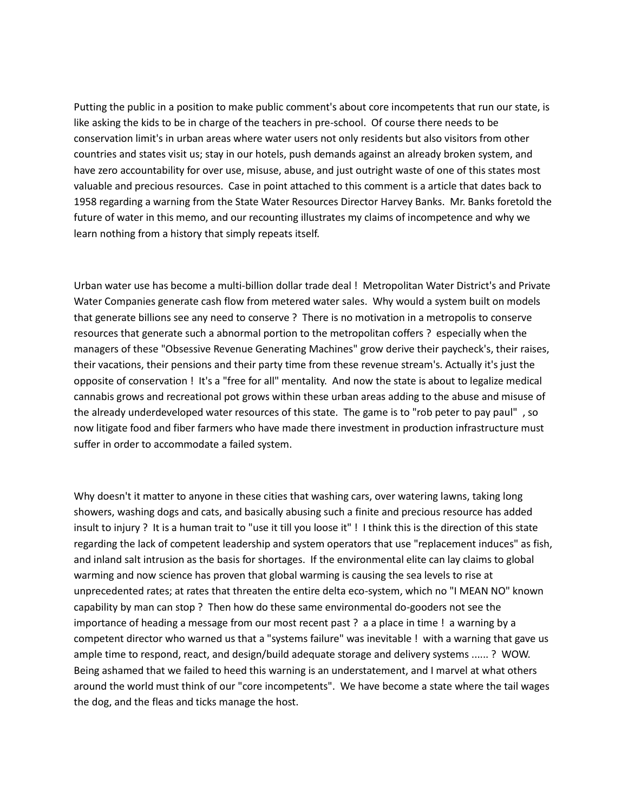Putting the public in a position to make public comment's about core incompetents that run our state, is like asking the kids to be in charge of the teachers in pre-school. Of course there needs to be conservation limit's in urban areas where water users not only residents but also visitors from other countries and states visit us; stay in our hotels, push demands against an already broken system, and have zero accountability for over use, misuse, abuse, and just outright waste of one of this states most valuable and precious resources. Case in point attached to this comment is a article that dates back to 1958 regarding a warning from the State Water Resources Director Harvey Banks. Mr. Banks foretold the future of water in this memo, and our recounting illustrates my claims of incompetence and why we learn nothing from a history that simply repeats itself.

Urban water use has become a multi-billion dollar trade deal ! Metropolitan Water District's and Private Water Companies generate cash flow from metered water sales. Why would a system built on models that generate billions see any need to conserve ? There is no motivation in a metropolis to conserve resources that generate such a abnormal portion to the metropolitan coffers ? especially when the managers of these "Obsessive Revenue Generating Machines" grow derive their paycheck's, their raises, their vacations, their pensions and their party time from these revenue stream's. Actually it's just the opposite of conservation ! It's a "free for all" mentality. And now the state is about to legalize medical cannabis grows and recreational pot grows within these urban areas adding to the abuse and misuse of the already underdeveloped water resources of this state. The game is to "rob peter to pay paul" , so now litigate food and fiber farmers who have made there investment in production infrastructure must suffer in order to accommodate a failed system.

Why doesn't it matter to anyone in these cities that washing cars, over watering lawns, taking long showers, washing dogs and cats, and basically abusing such a finite and precious resource has added insult to injury ? It is a human trait to "use it till you loose it" ! I think this is the direction of this state regarding the lack of competent leadership and system operators that use "replacement induces" as fish, and inland salt intrusion as the basis for shortages. If the environmental elite can lay claims to global warming and now science has proven that global warming is causing the sea levels to rise at unprecedented rates; at rates that threaten the entire delta eco-system, which no "I MEAN NO" known capability by man can stop ? Then how do these same environmental do-gooders not see the importance of heading a message from our most recent past ? a a place in time ! a warning by a competent director who warned us that a "systems failure" was inevitable ! with a warning that gave us ample time to respond, react, and design/build adequate storage and delivery systems ...... ? WOW. Being ashamed that we failed to heed this warning is an understatement, and I marvel at what others around the world must think of our "core incompetents". We have become a state where the tail wages the dog, and the fleas and ticks manage the host.